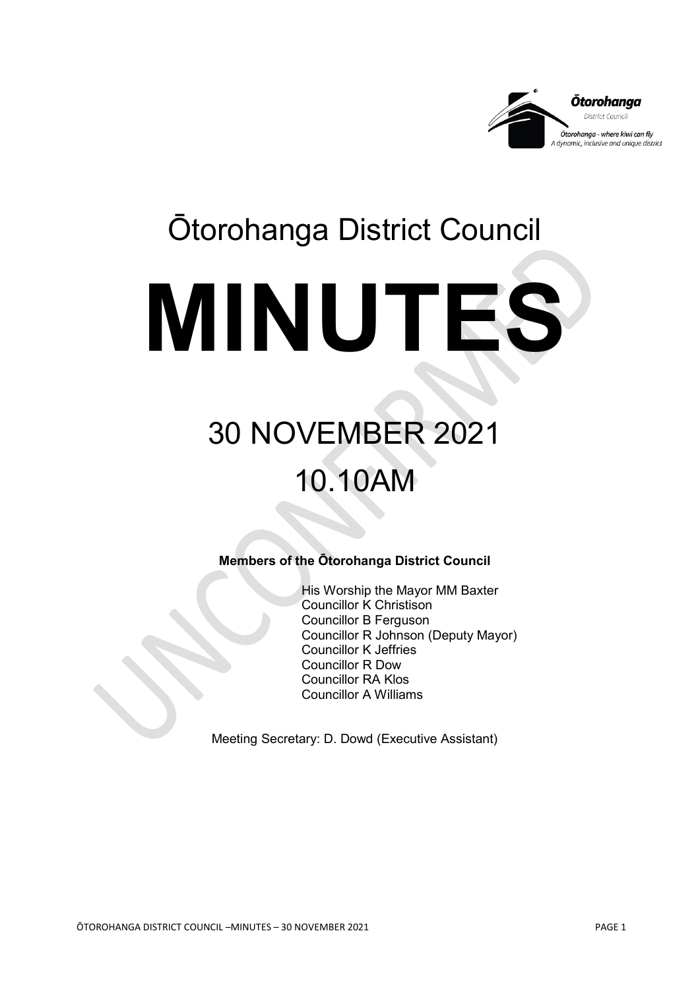

# Ōtorohanga District Council **MINUTES**

# 30 NOVEMBER 2021 10.10AM

**Members of the Ōtorohanga District Council**

His Worship the Mayor MM Baxter Councillor K Christison Councillor B Ferguson Councillor R Johnson (Deputy Mayor) Councillor K Jeffries Councillor R Dow Councillor RA Klos Councillor A Williams

Meeting Secretary: D. Dowd (Executive Assistant)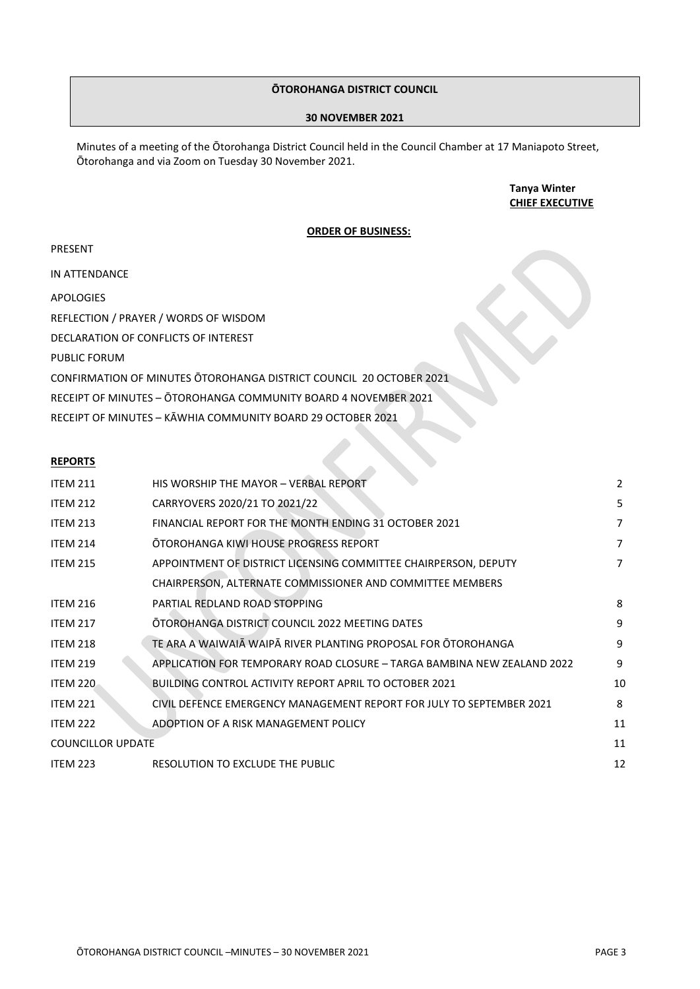# **ŌTOROHANGA DISTRICT COUNCIL**

#### **30 NOVEMBER 2021**

Minutes of a meeting of the Ōtorohanga District Council held in the Council Chamber at 17 Maniapoto Street, Ōtorohanga and via Zoom on Tuesday 30 November 2021.

#### **Tanya Winter CHIEF EXECUTIVE**

#### **ORDER OF BUSINESS:**

IN ATTENDANCE

APOLOGIES

REFLECTION / PRAYER / WORDS OF WISDOM

DECLARATION OF CONFLICTS OF INTEREST

PUBLIC FORUM

CONFIRMATION OF MINUTES ŌTOROHANGA DISTRICT COUNCIL 20 OCTOBER 2021

RECEIPT OF MINUTES – ŌTOROHANGA COMMUNITY BOARD 4 NOVEMBER 2021

RECEIPT OF MINUTES – KĀWHIA COMMUNITY BOARD 29 OCTOBER 2021

#### **REPORTS**

| <b>ITEM 211</b>                                         | HIS WORSHIP THE MAYOR - VERBAL REPORT                                   | $\overline{2}$ |  |  |  |
|---------------------------------------------------------|-------------------------------------------------------------------------|----------------|--|--|--|
| <b>ITEM 212</b>                                         | CARRYOVERS 2020/21 TO 2021/22                                           |                |  |  |  |
| <b>ITEM 213</b>                                         | FINANCIAL REPORT FOR THE MONTH ENDING 31 OCTOBER 2021                   |                |  |  |  |
| <b>ITEM 214</b>                                         | OTOROHANGA KIWI HOUSE PROGRESS REPORT                                   |                |  |  |  |
| <b>ITEM 215</b>                                         | APPOINTMENT OF DISTRICT LICENSING COMMITTEE CHAIRPERSON, DEPUTY         |                |  |  |  |
|                                                         | CHAIRPERSON, ALTERNATE COMMISSIONER AND COMMITTEE MEMBERS               |                |  |  |  |
| <b>ITEM 216</b>                                         | PARTIAL REDLAND ROAD STOPPING                                           | 8              |  |  |  |
| <b>ITEM 217</b>                                         | OTOROHANGA DISTRICT COUNCIL 2022 MEETING DATES                          | 9              |  |  |  |
| <b>ITEM 218</b>                                         | TE ARA A WAIWAIĀ WAIPĀ RIVER PLANTING PROPOSAL FOR ŌTOROHANGA           | 9              |  |  |  |
| <b>ITEM 219</b>                                         | APPLICATION FOR TEMPORARY ROAD CLOSURE - TARGA BAMBINA NEW ZEALAND 2022 | 9              |  |  |  |
| <b>ITEM 220</b>                                         | <b>BUILDING CONTROL ACTIVITY REPORT APRIL TO OCTOBER 2021</b>           | 10             |  |  |  |
| <b>ITEM 221</b>                                         | CIVIL DEFENCE EMERGENCY MANAGEMENT REPORT FOR JULY TO SEPTEMBER 2021    | 8              |  |  |  |
| <b>ITEM 222</b><br>ADOPTION OF A RISK MANAGEMENT POLICY |                                                                         |                |  |  |  |
| <b>COUNCILLOR UPDATE</b>                                |                                                                         | 11             |  |  |  |
| <b>ITEM 223</b>                                         | RESOLUTION TO EXCLUDE THE PUBLIC                                        | 12             |  |  |  |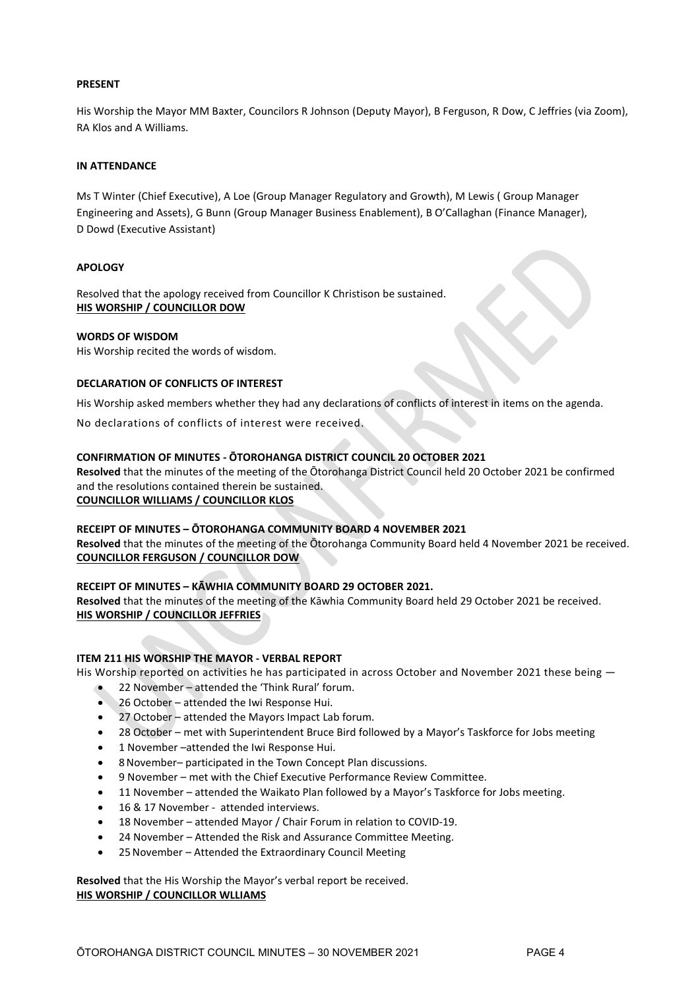# **PRESENT**

His Worship the Mayor MM Baxter, Councilors R Johnson (Deputy Mayor), B Ferguson, R Dow, C Jeffries (via Zoom), RA Klos and A Williams.

# **IN ATTENDANCE**

Ms T Winter (Chief Executive), A Loe (Group Manager Regulatory and Growth), M Lewis ( Group Manager Engineering and Assets), G Bunn (Group Manager Business Enablement), B O'Callaghan (Finance Manager), D Dowd (Executive Assistant)

# **APOLOGY**

Resolved that the apology received from Councillor K Christison be sustained. **HIS WORSHIP / COUNCILLOR DOW**

# **WORDS OF WISDOM**

His Worship recited the words of wisdom.

# **DECLARATION OF CONFLICTS OF INTEREST**

His Worship asked members whether they had any declarations of conflicts of interest in items on the agenda.

No declarations of conflicts of interest were received.

# **CONFIRMATION OF MINUTES - ŌTOROHANGA DISTRICT COUNCIL 20 OCTOBER 2021**

**Resolved** that the minutes of the meeting of the Ōtorohanga District Council held 20 October 2021 be confirmed and the resolutions contained therein be sustained. **COUNCILLOR WILLIAMS / COUNCILLOR KLOS**

# **RECEIPT OF MINUTES – ŌTOROHANGA COMMUNITY BOARD 4 NOVEMBER 2021**

**Resolved** that the minutes of the meeting of the Ōtorohanga Community Board held 4 November 2021 be received. **COUNCILLOR FERGUSON / COUNCILLOR DOW**

# **RECEIPT OF MINUTES – KĀWHIA COMMUNITY BOARD 29 OCTOBER 2021.**

**Resolved** that the minutes of the meeting of the Kāwhia Community Board held 29 October 2021 be received. **HIS WORSHIP / COUNCILLOR JEFFRIES**

# **ITEM 211 HIS WORSHIP THE MAYOR - VERBAL REPORT**

His Worship reported on activities he has participated in across October and November 2021 these being -

- 22 November attended the 'Think Rural' forum.
- 26 October attended the Iwi Response Hui.
- 27 October attended the Mayors Impact Lab forum.
- 28 October met with Superintendent Bruce Bird followed by a Mayor's Taskforce for Jobs meeting
- 1 November –attended the Iwi Response Hui.
- 8November– participated in the Town Concept Plan discussions.
- 9 November met with the Chief Executive Performance Review Committee.
- 11 November attended the Waikato Plan followed by a Mayor's Taskforce for Jobs meeting.
- 16 & 17 November attended interviews.
- 18 November attended Mayor / Chair Forum in relation to COVID-19.
- 24 November Attended the Risk and Assurance Committee Meeting.
- 25November Attended the Extraordinary Council Meeting

**Resolved** that the His Worship the Mayor's verbal report be received. **HIS WORSHIP / COUNCILLOR WLLIAMS**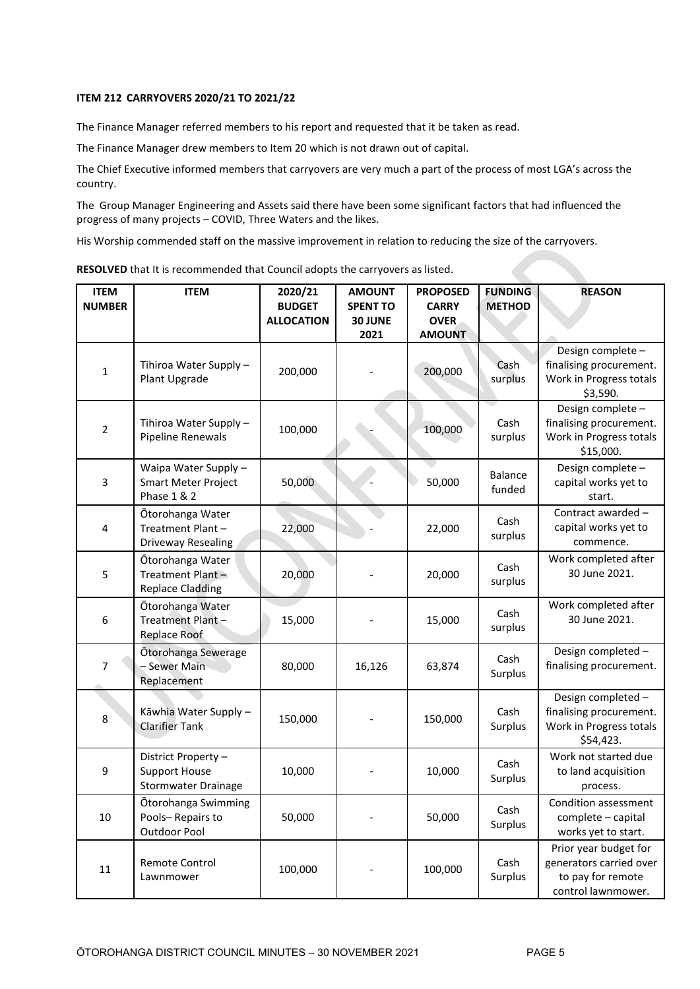# **ITEM 212 CARRYOVERS 2020/21 TO 2021/22**

The Finance Manager referred members to his report and requested that it be taken as read.

The Finance Manager drew members to Item 20 which is not drawn out of capital.

The Chief Executive informed members that carryovers are very much a part of the process of most LGA's across the country.

The Group Manager Engineering and Assets said there have been some significant factors that had influenced the progress of many projects – COVID, Three Waters and the likes.

His Worship commended staff on the massive improvement in relation to reducing the size of the carryovers.

| <b>ITEM</b><br><b>NUMBER</b> | <b>ITEM</b>                                                                  | 2020/21<br><b>BUDGET</b><br><b>ALLOCATION</b> | <b>AMOUNT</b><br><b>SPENT TO</b><br>30 JUNE<br>2021 | <b>PROPOSED</b><br><b>CARRY</b><br><b>OVER</b><br><b>AMOUNT</b> | <b>FUNDING</b><br><b>METHOD</b> | <b>REASON</b>                                                                               |
|------------------------------|------------------------------------------------------------------------------|-----------------------------------------------|-----------------------------------------------------|-----------------------------------------------------------------|---------------------------------|---------------------------------------------------------------------------------------------|
| $\mathbf 1$                  | Tihiroa Water Supply -<br>Plant Upgrade                                      | 200,000                                       |                                                     | 200,000                                                         | Cash<br>surplus                 | Design complete -<br>finalising procurement.<br>Work in Progress totals<br>\$3,590.         |
| $\boldsymbol{2}$             | Tihiroa Water Supply -<br>Pipeline Renewals                                  | 100,000                                       |                                                     | 100,000                                                         | Cash<br>surplus                 | Design complete-<br>finalising procurement.<br>Work in Progress totals<br>\$15,000.         |
| 3                            | Waipa Water Supply -<br><b>Smart Meter Project</b><br><b>Phase 1 &amp; 2</b> | 50,000                                        |                                                     | 50,000                                                          | <b>Balance</b><br>funded        | Design complete -<br>capital works yet to<br>start.                                         |
| 4                            | Ōtorohanga Water<br>Treatment Plant-<br>Driveway Resealing                   | 22,000                                        |                                                     | 22,000                                                          | Cash<br>surplus                 | Contract awarded -<br>capital works yet to<br>commence.                                     |
| 5                            | Ōtorohanga Water<br>Treatment Plant-<br><b>Replace Cladding</b>              | 20,000                                        |                                                     | 20,000                                                          | Cash<br>surplus                 | Work completed after<br>30 June 2021.                                                       |
| 6                            | Ōtorohanga Water<br>Treatment Plant-<br>Replace Roof                         | 15,000                                        |                                                     | 15,000                                                          | Cash<br>surplus                 | Work completed after<br>30 June 2021.                                                       |
| 7                            | Ōtorohanga Sewerage<br>- Sewer Main<br>Replacement                           | 80,000                                        | 16,126                                              | 63,874                                                          | Cash<br>Surplus                 | Design completed -<br>finalising procurement.                                               |
| 8                            | Kāwhia Water Supply -<br><b>Clarifier Tank</b>                               | 150,000                                       |                                                     | 150,000                                                         | Cash<br>Surplus                 | Design completed -<br>finalising procurement.<br>Work in Progress totals<br>\$54,423.       |
| 9                            | District Property -<br><b>Support House</b><br><b>Stormwater Drainage</b>    | 10,000                                        |                                                     | 10,000                                                          | Cash<br>Surplus                 | Work not started due<br>to land acquisition<br>process.                                     |
| $10\,$                       | Ōtorohanga Swimming<br>Pools-Repairs to<br>Outdoor Pool                      | 50,000                                        |                                                     | 50,000                                                          | Cash<br>Surplus                 | Condition assessment<br>complete - capital<br>works yet to start.                           |
| $11\,$                       | Remote Control<br>Lawnmower                                                  | 100,000                                       |                                                     | 100,000                                                         | Cash<br>Surplus                 | Prior year budget for<br>generators carried over<br>to pay for remote<br>control lawnmower. |

**RESOLVED** that It is recommended that Council adopts the carryovers as listed.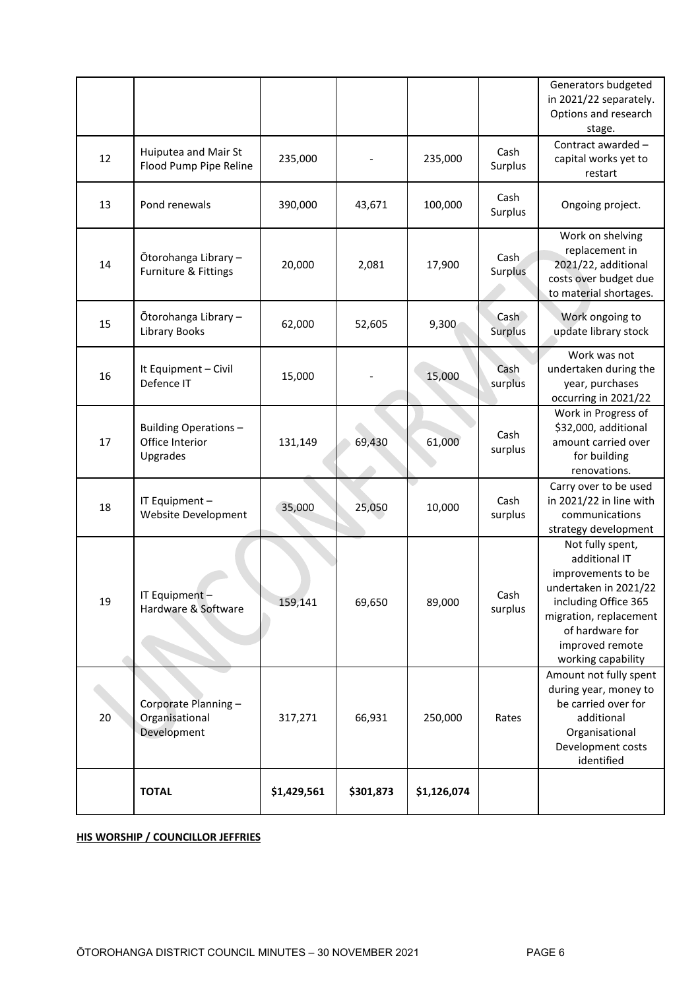|    |                                                      |             |           |             |                                     | Generators budgeted<br>in 2021/22 separately.<br>Options and research<br>stage.                                                                                                                |
|----|------------------------------------------------------|-------------|-----------|-------------|-------------------------------------|------------------------------------------------------------------------------------------------------------------------------------------------------------------------------------------------|
| 12 | Huiputea and Mair St<br>Flood Pump Pipe Reline       | 235,000     |           | 235,000     | Cash<br>Surplus                     | Contract awarded -<br>capital works yet to<br>restart                                                                                                                                          |
| 13 | Pond renewals                                        | 390,000     | 43,671    | 100,000     | Cash<br>Surplus                     | Ongoing project.                                                                                                                                                                               |
| 14 | Ōtorohanga Library -<br>Furniture & Fittings         | 20,000      | 2,081     | 17,900      | Cash<br>Surplus                     | Work on shelving<br>replacement in<br>2021/22, additional<br>costs over budget due<br>to material shortages.                                                                                   |
| 15 | Ōtorohanga Library -<br><b>Library Books</b>         | 62,000      | 52,605    | 9,300       | Cash <sub>2</sub><br><b>Surplus</b> | Work ongoing to<br>update library stock                                                                                                                                                        |
| 16 | It Equipment - Civil<br>Defence IT                   | 15,000      |           | 15,000      | Cash<br>surplus                     | Work was not<br>undertaken during the<br>year, purchases<br>occurring in 2021/22                                                                                                               |
| 17 | Building Operations-<br>Office Interior<br>Upgrades  | 131,149     | 69,430    | 61,000      | Cash<br>surplus                     | Work in Progress of<br>\$32,000, additional<br>amount carried over<br>for building<br>renovations.                                                                                             |
| 18 | IT Equipment -<br>Website Development                | 35,000      | 25,050    | 10,000      | Cash<br>surplus                     | Carry over to be used<br>in 2021/22 in line with<br>communications<br>strategy development                                                                                                     |
| 19 | IT Equipment -<br>Hardware & Software                | 159,141     | 69,650    | 89,000      | Cash<br>surplus                     | Not fully spent,<br>additional IT<br>improvements to be<br>undertaken in 2021/22<br>including Office 365<br>migration, replacement<br>of hardware for<br>improved remote<br>working capability |
| 20 | Corporate Planning-<br>Organisational<br>Development | 317,271     | 66,931    | 250,000     | Rates                               | Amount not fully spent<br>during year, money to<br>be carried over for<br>additional<br>Organisational<br>Development costs<br>identified                                                      |
|    | <b>TOTAL</b>                                         | \$1,429,561 | \$301,873 | \$1,126,074 |                                     |                                                                                                                                                                                                |

# **HIS WORSHIP / COUNCILLOR JEFFRIES**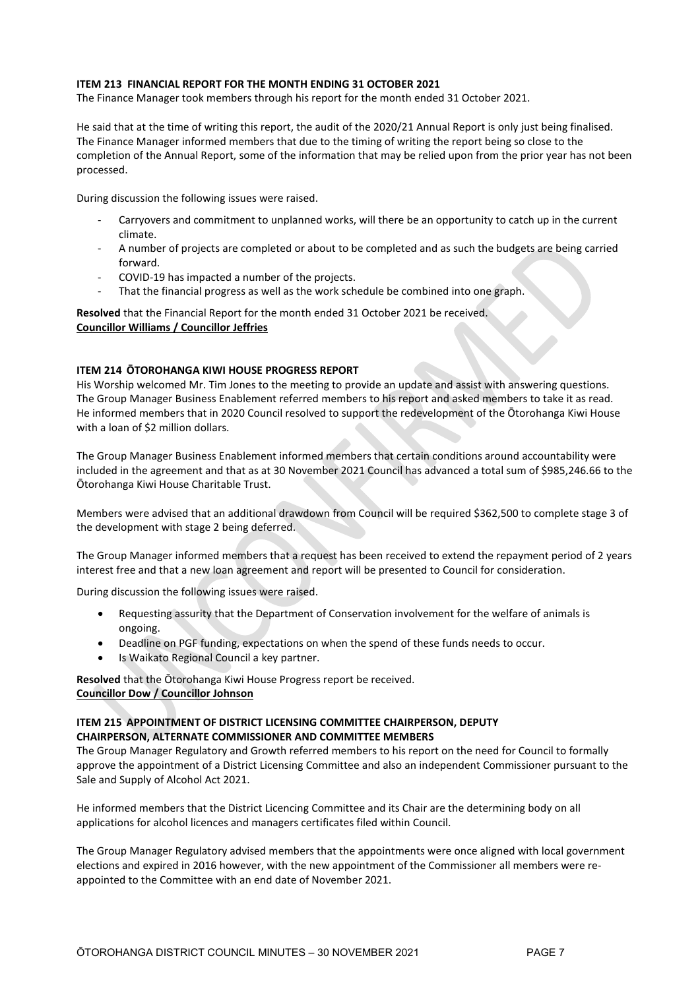### **ITEM 213 FINANCIAL REPORT FOR THE MONTH ENDING 31 OCTOBER 2021**

The Finance Manager took members through his report for the month ended 31 October 2021.

He said that at the time of writing this report, the audit of the 2020/21 Annual Report is only just being finalised. The Finance Manager informed members that due to the timing of writing the report being so close to the completion of the Annual Report, some of the information that may be relied upon from the prior year has not been processed.

During discussion the following issues were raised.

- Carryovers and commitment to unplanned works, will there be an opportunity to catch up in the current climate.
- A number of projects are completed or about to be completed and as such the budgets are being carried forward.
- COVID-19 has impacted a number of the projects.
- That the financial progress as well as the work schedule be combined into one graph.

**Resolved** that the Financial Report for the month ended 31 October 2021 be received. **Councillor Williams / Councillor Jeffries**

#### **ITEM 214 ŌTOROHANGA KIWI HOUSE PROGRESS REPORT**

His Worship welcomed Mr. Tim Jones to the meeting to provide an update and assist with answering questions. The Group Manager Business Enablement referred members to his report and asked members to take it as read. He informed members that in 2020 Council resolved to support the redevelopment of the Ōtorohanga Kiwi House with a loan of \$2 million dollars.

The Group Manager Business Enablement informed members that certain conditions around accountability were included in the agreement and that as at 30 November 2021 Council has advanced a total sum of \$985,246.66 to the Ōtorohanga Kiwi House Charitable Trust.

Members were advised that an additional drawdown from Council will be required \$362,500 to complete stage 3 of the development with stage 2 being deferred.

The Group Manager informed members that a request has been received to extend the repayment period of 2 years interest free and that a new loan agreement and report will be presented to Council for consideration.

During discussion the following issues were raised.

- Requesting assurity that the Department of Conservation involvement for the welfare of animals is ongoing.
- Deadline on PGF funding, expectations on when the spend of these funds needs to occur.
- Is Waikato Regional Council a key partner.

**Resolved** that the Ōtorohanga Kiwi House Progress report be received. **Councillor Dow / Councillor Johnson**

# **ITEM 215 APPOINTMENT OF DISTRICT LICENSING COMMITTEE CHAIRPERSON, DEPUTY CHAIRPERSON, ALTERNATE COMMISSIONER AND COMMITTEE MEMBERS**

The Group Manager Regulatory and Growth referred members to his report on the need for Council to formally approve the appointment of a District Licensing Committee and also an independent Commissioner pursuant to the Sale and Supply of Alcohol Act 2021.

He informed members that the District Licencing Committee and its Chair are the determining body on all applications for alcohol licences and managers certificates filed within Council.

The Group Manager Regulatory advised members that the appointments were once aligned with local government elections and expired in 2016 however, with the new appointment of the Commissioner all members were reappointed to the Committee with an end date of November 2021.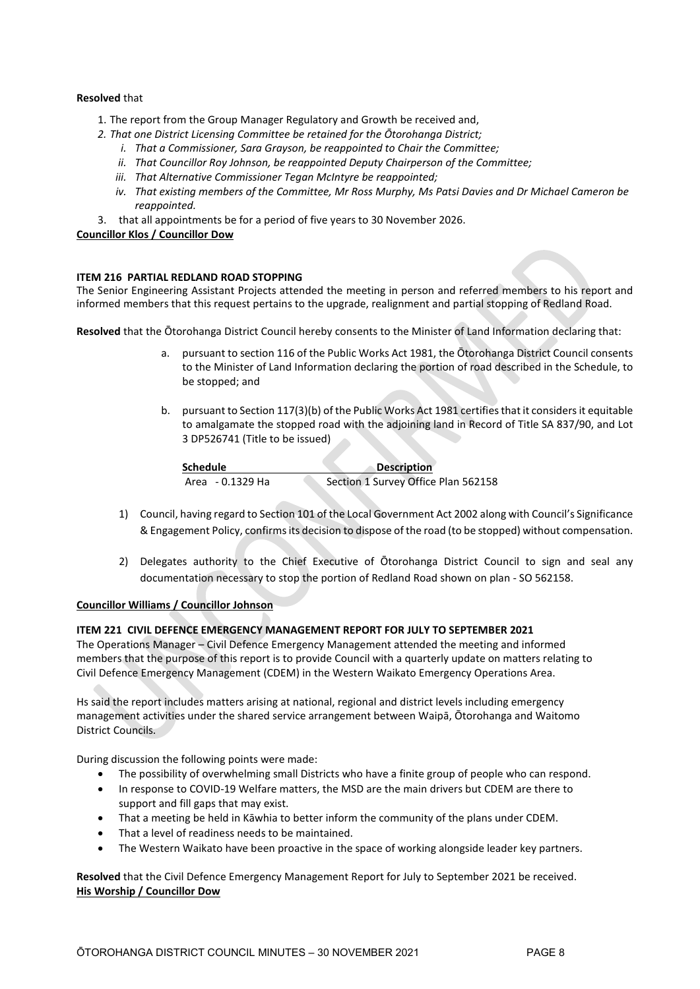# **Resolved** that

- 1. The report from the Group Manager Regulatory and Growth be received and,
- *2. That one District Licensing Committee be retained for the Ōtorohanga District;*
	- *i. That a Commissioner, Sara Grayson, be reappointed to Chair the Committee;*
	- *ii. That Councillor Roy Johnson, be reappointed Deputy Chairperson of the Committee;*
	- *iii. That Alternative Commissioner Tegan McIntyre be reappointed;*
	- *iv. That existing members of the Committee, Mr Ross Murphy, Ms Patsi Davies and Dr Michael Cameron be reappointed.*
- 3. that all appointments be for a period of five years to 30 November 2026.

#### **Councillor Klos / Councillor Dow**

#### **ITEM 216 PARTIAL REDLAND ROAD STOPPING**

The Senior Engineering Assistant Projects attended the meeting in person and referred members to his report and informed members that this request pertains to the upgrade, realignment and partial stopping of Redland Road.

**Resolved** that the Ōtorohanga District Council hereby consents to the Minister of Land Information declaring that:

- a. pursuant to section 116 of the Public Works Act 1981, the Ōtorohanga District Council consents to the Minister of Land Information declaring the portion of road described in the Schedule, to be stopped; and
- b. pursuant to Section 117(3)(b) of the Public Works Act 1981 certifies that it considers it equitable to amalgamate the stopped road with the adjoining land in Record of Title SA 837/90, and Lot 3 DP526741 (Title to be issued)

| <b>Schedule</b>  | <b>Description</b>                  |
|------------------|-------------------------------------|
| Area - 0.1329 Ha | Section 1 Survey Office Plan 562158 |

- 1) Council, having regard to Section 101 of the Local Government Act 2002 along with Council's Significance & Engagement Policy, confirms its decision to dispose of the road (to be stopped) without compensation.
- 2) Delegates authority to the Chief Executive of Ōtorohanga District Council to sign and seal any documentation necessary to stop the portion of Redland Road shown on plan - SO 562158.

#### **Councillor Williams / Councillor Johnson**

#### **ITEM 221 CIVIL DEFENCE EMERGENCY MANAGEMENT REPORT FOR JULY TO SEPTEMBER 2021**

The Operations Manager – Civil Defence Emergency Management attended the meeting and informed members that the purpose of this report is to provide Council with a quarterly update on matters relating to Civil Defence Emergency Management (CDEM) in the Western Waikato Emergency Operations Area.

Hs said the report includes matters arising at national, regional and district levels including emergency management activities under the shared service arrangement between Waipā, Ōtorohanga and Waitomo District Councils.

During discussion the following points were made:

- The possibility of overwhelming small Districts who have a finite group of people who can respond.
- In response to COVID-19 Welfare matters, the MSD are the main drivers but CDEM are there to support and fill gaps that may exist.
- That a meeting be held in Kāwhia to better inform the community of the plans under CDEM.
- That a level of readiness needs to be maintained.
- The Western Waikato have been proactive in the space of working alongside leader key partners.

**Resolved** that the Civil Defence Emergency Management Report for July to September 2021 be received. **His Worship / Councillor Dow**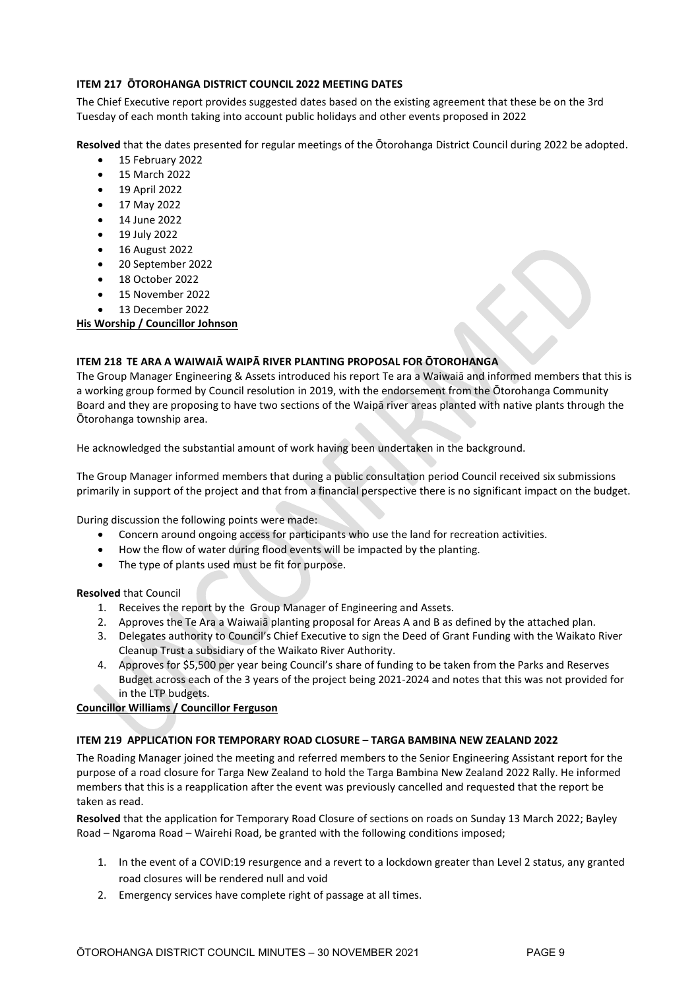# **ITEM 217 ŌTOROHANGA DISTRICT COUNCIL 2022 MEETING DATES**

The Chief Executive report provides suggested dates based on the existing agreement that these be on the 3rd Tuesday of each month taking into account public holidays and other events proposed in 2022

**Resolved** that the dates presented for regular meetings of the Ōtorohanga District Council during 2022 be adopted.

- 15 February 2022
- 15 March 2022
- 19 April 2022
- 17 May 2022
- 14 June 2022
- 19 July 2022
- 16 August 2022
- 20 September 2022
- 18 October 2022
- 15 November 2022
- 13 December 2022

**His Worship / Councillor Johnson** 

# **ITEM 218 TE ARA A WAIWAIĀ WAIPĀ RIVER PLANTING PROPOSAL FOR ŌTOROHANGA**

The Group Manager Engineering & Assets introduced his report Te ara a Waiwaiā and informed members that this is a working group formed by Council resolution in 2019, with the endorsement from the Ōtorohanga Community Board and they are proposing to have two sections of the Waipā river areas planted with native plants through the Ōtorohanga township area.

He acknowledged the substantial amount of work having been undertaken in the background.

The Group Manager informed members that during a public consultation period Council received six submissions primarily in support of the project and that from a financial perspective there is no significant impact on the budget.

During discussion the following points were made:

- Concern around ongoing access for participants who use the land for recreation activities.
- How the flow of water during flood events will be impacted by the planting.
- The type of plants used must be fit for purpose.

#### **Resolved** that Council

- 1. Receives the report by the Group Manager of Engineering and Assets.
- 2. Approves the Te Ara a Waiwaiā planting proposal for Areas A and B as defined by the attached plan.
- 3. Delegates authority to Council's Chief Executive to sign the Deed of Grant Funding with the Waikato River Cleanup Trust a subsidiary of the Waikato River Authority.
- 4. Approves for \$5,500 per year being Council's share of funding to be taken from the Parks and Reserves Budget across each of the 3 years of the project being 2021-2024 and notes that this was not provided for in the LTP budgets.

# **Councillor Williams / Councillor Ferguson**

# **ITEM 219 APPLICATION FOR TEMPORARY ROAD CLOSURE – TARGA BAMBINA NEW ZEALAND 2022**

The Roading Manager joined the meeting and referred members to the Senior Engineering Assistant report for the purpose of a road closure for Targa New Zealand to hold the Targa Bambina New Zealand 2022 Rally. He informed members that this is a reapplication after the event was previously cancelled and requested that the report be taken as read.

**Resolved** that the application for Temporary Road Closure of sections on roads on Sunday 13 March 2022; Bayley Road – Ngaroma Road – Wairehi Road, be granted with the following conditions imposed;

- 1. In the event of a COVID:19 resurgence and a revert to a lockdown greater than Level 2 status, any granted road closures will be rendered null and void
- 2. Emergency services have complete right of passage at all times.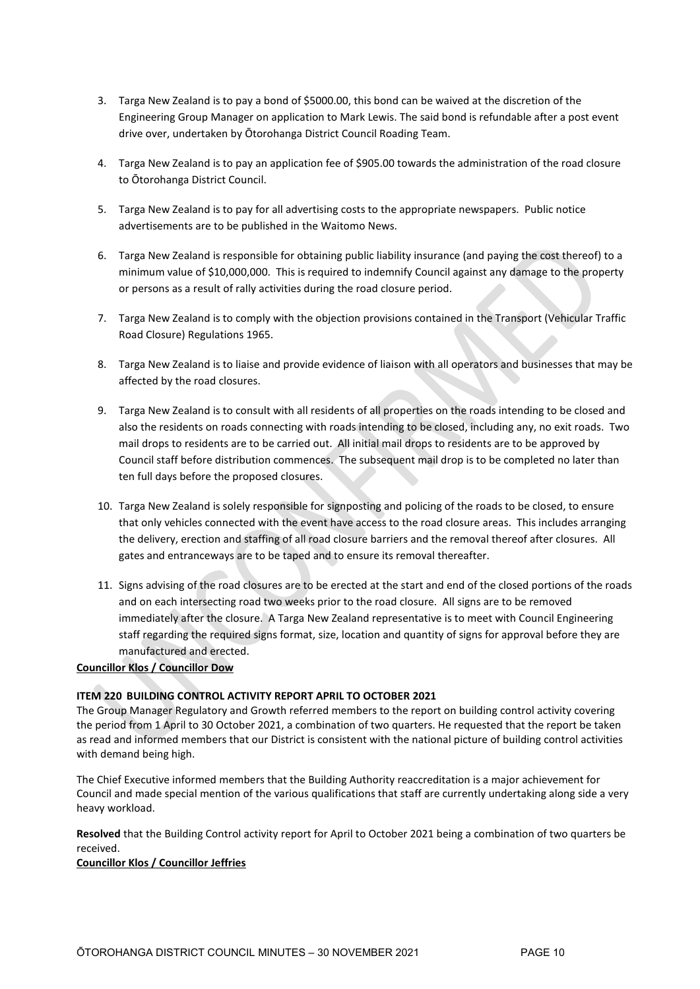- 3. Targa New Zealand is to pay a bond of \$5000.00, this bond can be waived at the discretion of the Engineering Group Manager on application to Mark Lewis. The said bond is refundable after a post event drive over, undertaken by Ōtorohanga District Council Roading Team.
- 4. Targa New Zealand is to pay an application fee of \$905.00 towards the administration of the road closure to Ōtorohanga District Council.
- 5. Targa New Zealand is to pay for all advertising costs to the appropriate newspapers. Public notice advertisements are to be published in the Waitomo News.
- 6. Targa New Zealand is responsible for obtaining public liability insurance (and paying the cost thereof) to a minimum value of \$10,000,000. This is required to indemnify Council against any damage to the property or persons as a result of rally activities during the road closure period.
- 7. Targa New Zealand is to comply with the objection provisions contained in the Transport (Vehicular Traffic Road Closure) Regulations 1965.
- 8. Targa New Zealand is to liaise and provide evidence of liaison with all operators and businesses that may be affected by the road closures.
- 9. Targa New Zealand is to consult with all residents of all properties on the roads intending to be closed and also the residents on roads connecting with roads intending to be closed, including any, no exit roads. Two mail drops to residents are to be carried out. All initial mail drops to residents are to be approved by Council staff before distribution commences. The subsequent mail drop is to be completed no later than ten full days before the proposed closures.
- 10. Targa New Zealand is solely responsible for signposting and policing of the roads to be closed, to ensure that only vehicles connected with the event have access to the road closure areas. This includes arranging the delivery, erection and staffing of all road closure barriers and the removal thereof after closures. All gates and entranceways are to be taped and to ensure its removal thereafter.
- 11. Signs advising of the road closures are to be erected at the start and end of the closed portions of the roads and on each intersecting road two weeks prior to the road closure. All signs are to be removed immediately after the closure. A Targa New Zealand representative is to meet with Council Engineering staff regarding the required signs format, size, location and quantity of signs for approval before they are manufactured and erected.

# **Councillor Klos / Councillor Dow**

# **ITEM 220 BUILDING CONTROL ACTIVITY REPORT APRIL TO OCTOBER 2021**

The Group Manager Regulatory and Growth referred members to the report on building control activity covering the period from 1 April to 30 October 2021, a combination of two quarters. He requested that the report be taken as read and informed members that our District is consistent with the national picture of building control activities with demand being high.

The Chief Executive informed members that the Building Authority reaccreditation is a major achievement for Council and made special mention of the various qualifications that staff are currently undertaking along side a very heavy workload.

**Resolved** that the Building Control activity report for April to October 2021 being a combination of two quarters be received.

#### **Councillor Klos / Councillor Jeffries**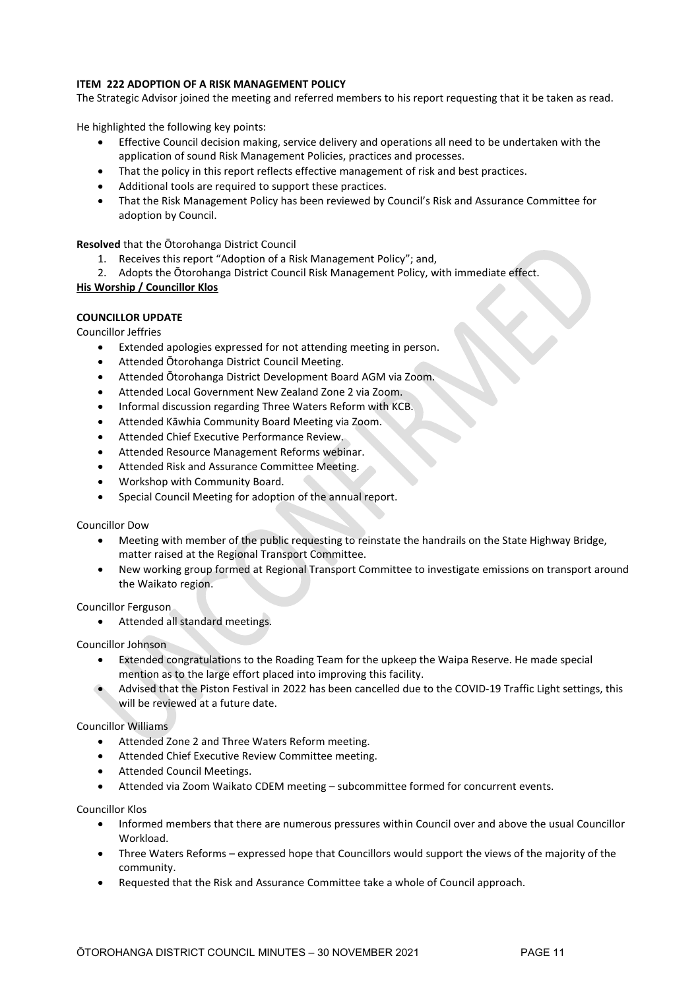# **ITEM 222 ADOPTION OF A RISK MANAGEMENT POLICY**

The Strategic Advisor joined the meeting and referred members to his report requesting that it be taken as read.

He highlighted the following key points:

- Effective Council decision making, service delivery and operations all need to be undertaken with the application of sound Risk Management Policies, practices and processes.
- That the policy in this report reflects effective management of risk and best practices.
- Additional tools are required to support these practices.
- That the Risk Management Policy has been reviewed by Council's Risk and Assurance Committee for adoption by Council.

**Resolved** that the Ōtorohanga District Council

- 1. Receives this report "Adoption of a Risk Management Policy"; and,
- 2. Adopts the Ōtorohanga District Council Risk Management Policy, with immediate effect.

# **His Worship / Councillor Klos**

# **COUNCILLOR UPDATE**

Councillor Jeffries

- Extended apologies expressed for not attending meeting in person.
- Attended Ōtorohanga District Council Meeting.
- Attended Ōtorohanga District Development Board AGM via Zoom.
- Attended Local Government New Zealand Zone 2 via Zoom.
- Informal discussion regarding Three Waters Reform with KCB.
- Attended Kāwhia Community Board Meeting via Zoom.
- Attended Chief Executive Performance Review.
- Attended Resource Management Reforms webinar.
- Attended Risk and Assurance Committee Meeting.
- Workshop with Community Board.
- Special Council Meeting for adoption of the annual report.

# Councillor Dow

- Meeting with member of the public requesting to reinstate the handrails on the State Highway Bridge, matter raised at the Regional Transport Committee.
- New working group formed at Regional Transport Committee to investigate emissions on transport around the Waikato region.

# Councillor Ferguson

• Attended all standard meetings.

# Councillor Johnson

- Extended congratulations to the Roading Team for the upkeep the Waipa Reserve. He made special mention as to the large effort placed into improving this facility.
- Advised that the Piston Festival in 2022 has been cancelled due to the COVID-19 Traffic Light settings, this will be reviewed at a future date.

# Councillor Williams

- Attended Zone 2 and Three Waters Reform meeting.
- Attended Chief Executive Review Committee meeting.
- Attended Council Meetings.
- Attended via Zoom Waikato CDEM meeting subcommittee formed for concurrent events.

# Councillor Klos

- Informed members that there are numerous pressures within Council over and above the usual Councillor Workload.
- Three Waters Reforms expressed hope that Councillors would support the views of the majority of the community.
- Requested that the Risk and Assurance Committee take a whole of Council approach.